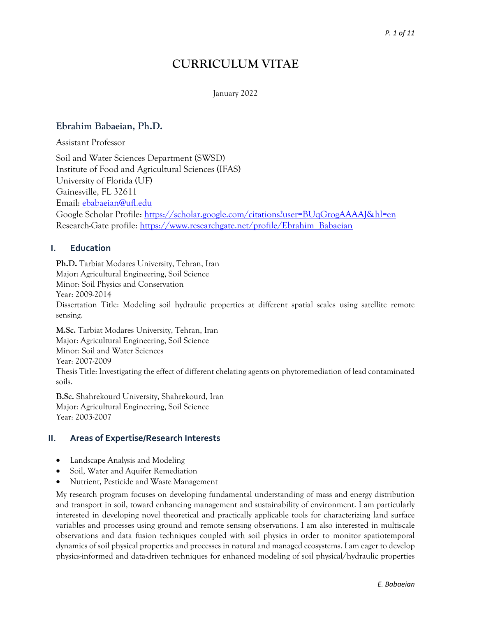# **CURRICULUM VITAE**

#### January 2022

## **Ebrahim Babaeian, Ph.D.**

Assistant Professor

Soil and Water Sciences Department (SWSD) Institute of Food and Agricultural Sciences (IFAS) University of Florida (UF) Gainesville, FL 32611 Email: [ebabaeian@ufl.edu](mailto:ebabaeian@ufl.edu) Google Scholar Profile:<https://scholar.google.com/citations?user=BUqGrogAAAAJ&hl=en> Research-Gate profile: [https://www.researchgate.net/profile/Ebrahim\\_Babaeian](https://www.researchgate.net/profile/Ebrahim_Babaeian)

## **I. Education**

**Ph.D.** Tarbiat Modares University, Tehran, Iran Major: Agricultural Engineering, Soil Science Minor: Soil Physics and Conservation Year: 2009-2014 Dissertation Title: Modeling soil hydraulic properties at different spatial scales using satellite remote sensing.

**M.Sc.** Tarbiat Modares University, Tehran, Iran Major: Agricultural Engineering, Soil Science Minor: Soil and Water Sciences Year: 2007-2009 Thesis Title: Investigating the effect of different chelating agents on phytoremediation of lead contaminated soils.

**B.Sc.** Shahrekourd University, Shahrekourd, Iran Major: Agricultural Engineering, Soil Science Year: 2003-2007

#### **II. Areas of Expertise/Research Interests**

- [Landscape Analysis and Modeling](https://soils.ifas.ufl.edu/research/--landscape-analysis-and-modeling/)
- [Soil, Water and Aquifer Remediation](https://soils.ifas.ufl.edu/research/--soil-water-and-aquifer-remediation-/)
- [Nutrient, Pesticide and Waste Management](https://soils.ifas.ufl.edu/research/--nutrient-pesticide-and-waste-management/)

My research program focuses on developing fundamental understanding of mass and energy distribution and transport in soil, toward enhancing management and sustainability of environment. I am particularly interested in developing novel theoretical and practically applicable tools for characterizing land surface variables and processes using ground and remote sensing observations. I am also interested in multiscale observations and data fusion techniques coupled with soil physics in order to monitor spatiotemporal dynamics of soil physical properties and processes in natural and managed ecosystems. I am eager to develop physics-informed and data-driven techniques for enhanced modeling of soil physical/hydraulic properties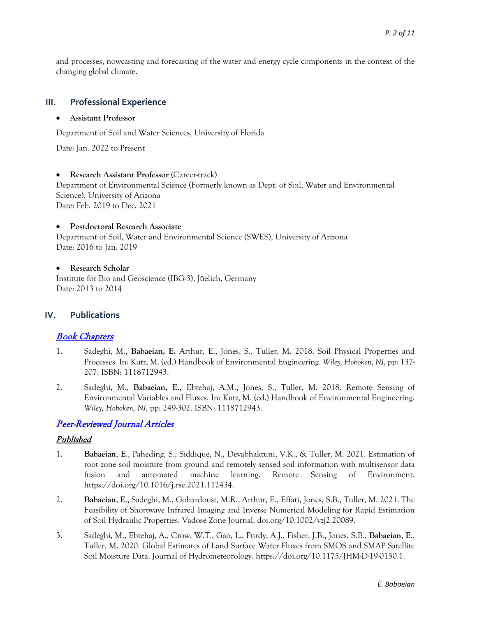and processes, nowcasting and forecasting of the water and energy cycle components in the context of the changing global climate.

#### **III. Professional Experience**

#### • **Assistant Professor**

Department of Soil and Water Sciences, University of Florida

Date: Jan. 2022 to Present

#### • **Research Assistant Professor** (Career-track)

Department of Environmental Science (Formerly known as Dept. of Soil, Water and Environmental Science), University of Arizona Date: Feb. 2019 to Dec. 2021

#### • **Postdoctoral Research Associate**

Department of Soil, Water and Environmental Science (SWES), University of Arizona Date: 2016 to Jan. 2019

#### • **Research Scholar**

[Institute for Bio and Geoscience \(IBG-3\),](http://www.fz-juelich.de/portal/EN/Service/Howtoreachus/_node.html) Jüelich, Germany Date: 2013 to 2014

#### **IV. Publications**

## Book Chapters

- 1. Sadeghi, M., **Babaeian, E.** Arthur, E., Jones, S., Tuller, M. 2018. Soil Physical Properties and Processes. In: Kutz, M. (ed.) Handbook of Environmental Engineering. *Wiley, Hoboken, NJ,* pp: 137- 207. ISBN: 1118712943.
- 2. Sadeghi, M., **Babaeian, E.,** Ebtehaj, A.M., Jones, S., Tuller, M. 2018. Remote Sensing of Environmental Variables and Fluxes. In: Kutz, M. (ed.) Handbook of Environmental Engineering. *Wiley, Hoboken, NJ,* pp: 249-302. ISBN: 1118712943.

## Peer-Reviewed Journal Articles

#### Published

- 1. **Babaeian**, **E**., Paheding, S., Siddique, N., Devabhaktuni, V.K., & Tuller, M. 2021. Estimation of root zone soil moisture from ground and remotely sensed soil information with multisensor data fusion and automated machine learning. Remote Sensing of Environment. https://doi.org/10.1016/j.rse.2021.112434.
- 2. **Babaeian**, **E**., Sadeghi, M., Gohardoust, M.R., Arthur, E., Effati, Jones, S.B., Tuller, M. 2021. The Feasibility of Shortwave Infrared Imaging and Inverse Numerical Modeling for Rapid Estimation of Soil Hydraulic Properties. Vadose Zone Journal. doi.org/10.1002/vzj2.20089.
- 3. Sadeghi, M., Ebtehaj, A., Crow, W.T., Gao, L., Purdy, A.J., Fisher, J.B., Jones, S.B., **Babaeian**, **E**., Tuller, M. 2020. [Global Estimates of Land Surface Water Fluxes from SMOS and SMAP Satellite](https://www.researchgate.net/publication/337910943_Global_Estimates_of_Land_Surface_Water_Fluxes_from_SMOS_and_SMAP_Satellite_Soil_Moisture_Data?_sg=q5YE9r9IhNV5aWoz1cyrqvZ1GHRkIclpfUKvxeyIBzrGebvv7Hdpl87XAGcLl3lvC5lwTFpQlyGst1AiR3WrcshKhmwcOLCWG23smTKu.4YvoTxZpI4YbXH0XfqhVzbXO-nVnMnVpL3GaKIodhJWlrggoykBkANFe5PMhpU1pVbEZYJjyWHcOIB0ugfTbdg)  [Soil Moisture Data.](https://www.researchgate.net/publication/337910943_Global_Estimates_of_Land_Surface_Water_Fluxes_from_SMOS_and_SMAP_Satellite_Soil_Moisture_Data?_sg=q5YE9r9IhNV5aWoz1cyrqvZ1GHRkIclpfUKvxeyIBzrGebvv7Hdpl87XAGcLl3lvC5lwTFpQlyGst1AiR3WrcshKhmwcOLCWG23smTKu.4YvoTxZpI4YbXH0XfqhVzbXO-nVnMnVpL3GaKIodhJWlrggoykBkANFe5PMhpU1pVbEZYJjyWHcOIB0ugfTbdg) Journal of Hydrometeorology. [https://doi.org/10.1175/JHM-D-19-0150.1.](https://doi.org/10.1175/JHM-D-19-0150.1)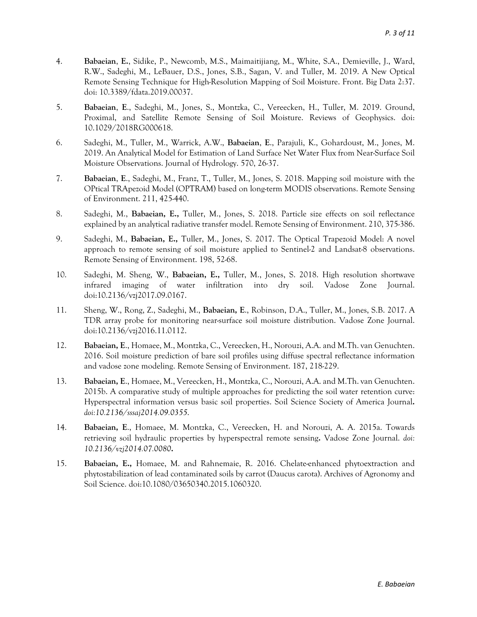- 4. **Babaeian**, **E.**, Sidike, P., Newcomb, M.S., Maimaitijiang, M., White, S.A., Demieville, J., Ward, R.W., Sadeghi, M., LeBauer, D.S., Jones, S.B., Sagan, V. and Tuller, M. 2019. A New Optical Remote Sensing Technique for High-Resolution Mapping of Soil Moisture. Front. Big Data 2:37. doi: 10.3389/fdata.2019.00037.
- 5. **Babaeian**, **E**., Sadeghi, M., Jones, S., Montzka, C., Vereecken, H., Tuller, M. 2019. Ground, Proximal, and Satellite Remote Sensing of Soil Moisture. Reviews of Geophysics. doi: [10.1029/2018RG000618.](https://doi.org/10.1029/2018RG000618)
- 6. Sadeghi, M., Tuller, M., Warrick, A.W., **Babaeian**, **E**., Parajuli, K., Gohardoust, M., Jones, M. 2019. An Analytical Model for Estimation of Land Surface Net Water Flux from Near-Surface Soil Moisture Observations. Journal of Hydrology. 570, 26-37.
- 7. **Babaeian**, **E**., Sadeghi, M., Franz, T., Tuller, M., Jones, S. 2018. [Mapping soil moisture with the](https://www.researchgate.net/publication/324756038_Mapping_soil_moisture_with_the_OPtical_TRApezoid_Model_OPTRAM_based_on_long-term_MODIS_observations?_sg=Ofrg6w20lgK6SEXYuVR0LVR0xBA-uKltpZEyq3OEdmO3yK1jcjzFxiPj70oj6RH5hqZFQKRnKx5jse6jdpJfgItQpCmoXjDETkV6dmJH.8AlwwfjPQ10Mgi5dtjOu9tvBNryUtWPqiECDNxtkm3RzK7ORAL-qrb-4W355V0_6xj2rekwqwLemELw32lz2CQ)  [OPtical TRApezoid Model \(OPTRAM\) based on long-term MODIS observations.](https://www.researchgate.net/publication/324756038_Mapping_soil_moisture_with_the_OPtical_TRApezoid_Model_OPTRAM_based_on_long-term_MODIS_observations?_sg=Ofrg6w20lgK6SEXYuVR0LVR0xBA-uKltpZEyq3OEdmO3yK1jcjzFxiPj70oj6RH5hqZFQKRnKx5jse6jdpJfgItQpCmoXjDETkV6dmJH.8AlwwfjPQ10Mgi5dtjOu9tvBNryUtWPqiECDNxtkm3RzK7ORAL-qrb-4W355V0_6xj2rekwqwLemELw32lz2CQ) Remote Sensing of Environment. 211, 425-440.
- 8. Sadeghi, M., **Babaeian, E.,** Tuller, M., Jones, S. 2018. [Particle size effects on soil reflectance](https://www.researchgate.net/publication/324106156_Particle_size_effects_on_soil_reflectance_explained_by_an_analytical_radiative_transfer_model?_sg=Ofrg6w20lgK6SEXYuVR0LVR0xBA-uKltpZEyq3OEdmO3yK1jcjzFxiPj70oj6RH5hqZFQKRnKx5jse6jdpJfgItQpCmoXjDETkV6dmJH.8AlwwfjPQ10Mgi5dtjOu9tvBNryUtWPqiECDNxtkm3RzK7ORAL-qrb-4W355V0_6xj2rekwqwLemELw32lz2CQ)  [explained by an analytical radiative transfer model.](https://www.researchgate.net/publication/324106156_Particle_size_effects_on_soil_reflectance_explained_by_an_analytical_radiative_transfer_model?_sg=Ofrg6w20lgK6SEXYuVR0LVR0xBA-uKltpZEyq3OEdmO3yK1jcjzFxiPj70oj6RH5hqZFQKRnKx5jse6jdpJfgItQpCmoXjDETkV6dmJH.8AlwwfjPQ10Mgi5dtjOu9tvBNryUtWPqiECDNxtkm3RzK7ORAL-qrb-4W355V0_6xj2rekwqwLemELw32lz2CQ) Remote Sensing of Environment. 210, 375-386.
- 9. Sadeghi, M., **Babaeian, E.,** Tuller, M., Jones, S. 2017. The Optical Trapezoid Model: A novel approach to remote sensing of soil moisture applied to Sentinel-2 and Landsat-8 observations. Remote Sensing of Environment. 198, 52-68.
- 10. Sadeghi, M. Sheng, W., **Babaeian, E.,** Tuller, M., Jones, S. 2018. High resolution shortwave infrared imaging of water infiltration into dry soil. Vadose Zone Journal. doi:10.2136/vzj2017.09.0167.
- 11. Sheng, W., Rong, Z., Sadeghi, M., **Babaeian, E**., Robinson, D.A., Tuller, M., Jones, S.B. 2017. A TDR array probe for monitoring near-surface soil moisture distribution. Vadose Zone Journal. doi:10.2136/vzj2016.11.0112.
- 12. **Babaeian, E**., Homaee, M., Montzka, C., Vereecken, H., Norouzi, A.A. and M.Th. van Genuchten. 2016. Soil moisture prediction of bare soil profiles using diffuse spectral reflectance information and vadose zone modeling. Remote Sensing of Environment. 187, 218-229.
- 13. **Babaeian, E**., Homaee, M., Vereecken, H., Montzka, C., Norouzi, A.A. and M.Th. van Genuchten. 2015b. A comparative study of multiple approaches for predicting the soil water retention curve: Hyperspectral information versus basic soil properties. Soil Science Society of America Journal**.**  *doi:10.2136/sssaj2014.09.0355*.
- 14. **Babaeian, E**., Homaee, M. Montzka, C., Vereecken, H. and Norouzi, A. A. 2015a. Towards retrieving soil hydraulic properties by hyperspectral remote sensing**.** Vadose Zone Journal. *doi: 10.2136/vzj2014.07.0080***.**
- 15. **Babaeian, E.,** Homaee, M. and Rahnemaie, R. 2016. Chelate-enhanced phytoextraction and phytostabilization of lead contaminated soils by carrot (Daucus carota). Archives of Agronomy and Soil Science. doi:10.1080/03650340.2015.1060320.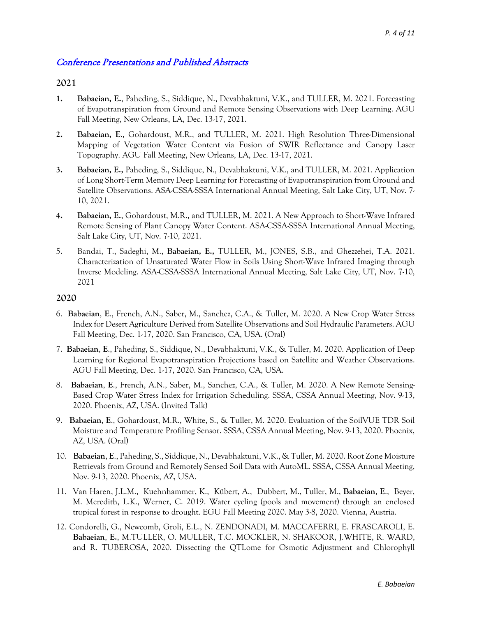# Conference Presentations and Published Abstracts

## **2021**

- **1. Babaeian, E.**, Paheding, S., Siddique, N., Devabhaktuni, V.K., and TULLER, M. 2021. Forecasting of Evapotranspiration from Ground and Remote Sensing Observations with Deep Learning. AGU Fall Meeting, New Orleans, LA, Dec. 13-17, 2021.
- **2. Babaeian, E**., Gohardoust, M.R., and TULLER, M. 2021. High Resolution Three-Dimensional Mapping of Vegetation Water Content via Fusion of SWIR Reflectance and Canopy Laser Topography. AGU Fall Meeting, New Orleans, LA, Dec. 13-17, 2021.
- **3. Babaeian, E.,** Paheding, S., Siddique, N., Devabhaktuni, V.K., and TULLER, M. 2021. Application of Long Short-Term Memory Deep Learning for Forecasting of Evapotranspiration from Ground and Satellite Observations. ASA-CSSA-SSSA International Annual Meeting, Salt Lake City, UT, Nov. 7- 10, 2021.
- **4. Babaeian, E.**, Gohardoust, M.R., and TULLER, M. 2021. A New Approach to Short-Wave Infrared Remote Sensing of Plant Canopy Water Content. ASA-CSSA-SSSA International Annual Meeting, Salt Lake City, UT, Nov. 7-10, 2021.
- 5. Bandai, T., Sadeghi, M., **Babaeian, E.,** TULLER, M., JONES, S.B., and Ghezzehei, T.A. 2021. Characterization of Unsaturated Water Flow in Soils Using Short-Wave Infrared Imaging through Inverse Modeling. ASA-CSSA-SSSA International Annual Meeting, Salt Lake City, UT, Nov. 7-10, 2021

## **2020**

- 6. **Babaeian**, **E**., French, A.N., Saber, M., Sanchez, C.A., & Tuller, M. 2020. A New Crop Water Stress Index for Desert Agriculture Derived from Satellite Observations and Soil Hydraulic Parameters. AGU Fall Meeting, Dec. 1-17, 2020. San Francisco, CA, USA. (Oral)
- 7. **Babaeian**, **E**., Paheding, S., Siddique, N., [Devabhaktuni,](https://www.researchgate.net/scientific-contributions/Vijay-K-Devabhaktuni-2181992607) V.K., & Tuller, M. 2020. [Application](https://www.researchgate.net/publication/344866050_Root_Zone_Moisture_Retrievals_from_Ground_and_Remotely_Sensed_Soil_Data_with_AutoML?_sg=z37uvkw_W-WGaml1_nzAGFZiEOXb8qfhAwx8C8FXktbX2DPqIYHSAWr32EjzSEb9qhd06xvJDBLMZ-vCXs2GGGonZsUrv7Zz0pG0oWqx.JcxAMfYTqzqaaIWcE-c8Dlbux74qCsmKRqn49_JaSG-KQl8X7HZa_fRdANKd66q7RyyKAiGfXiKmob9HLlQVIw) of Deep Learning for Regional Evapotranspiration Projections based on Satellite and Weather Observations. AGU Fall Meeting, Dec. 1-17, 2020. San Francisco, CA, USA.
- 8. **Babaeian**, **E**., French, A.N., Saber, M., Sanchez, C.A., & Tuller, M. 2020. [A New Remote Sensing-](https://www.researchgate.net/publication/345628973_A_New_Remote_Sensing-Based_Crop_Water_Stress_Index_for_Irrigation_Scheduling?_sg=RYMbpiPA7Oaf-COJLFdjhYtwLETccQeA9OAc82uT5ERakMVK1MpEGdnC-TulZJlp1Vbd4Uw-OnnWzCBt7IRBL1QbFKy4yM2b2wqxODY7.dsxxLP_H09GybpYfJinycj3PTVlcHaLqnbPHFhswIvRoDjdrOaHKAXFUPHQox2xEX1JEZoQv5GncGAsEWs9ipA)[Based Crop Water Stress Index for Irrigation Scheduling.](https://www.researchgate.net/publication/345628973_A_New_Remote_Sensing-Based_Crop_Water_Stress_Index_for_Irrigation_Scheduling?_sg=RYMbpiPA7Oaf-COJLFdjhYtwLETccQeA9OAc82uT5ERakMVK1MpEGdnC-TulZJlp1Vbd4Uw-OnnWzCBt7IRBL1QbFKy4yM2b2wqxODY7.dsxxLP_H09GybpYfJinycj3PTVlcHaLqnbPHFhswIvRoDjdrOaHKAXFUPHQox2xEX1JEZoQv5GncGAsEWs9ipA) SSSA, CSSA Annual Meeting, Nov. 9-13, 2020. Phoenix, AZ, USA. (Invited Talk)
- 9. **Babaeian**, **E**., Gohardoust, M.R., White, S., & Tuller, M. 2020. Evaluation of the SoilVUE TDR Soil Moisture and Temperature Profiling Sensor. SSSA, CSSA Annual Meeting, Nov. 9-13, 2020. Phoenix, AZ, USA. (Oral)
- 10. **Babaeian**, **E**., Paheding, S., Siddique, N., [Devabhaktuni,](https://www.researchgate.net/scientific-contributions/Vijay-K-Devabhaktuni-2181992607) V.K., & Tuller, M. 2020[. Root Zone Moisture](https://www.researchgate.net/publication/344866050_Root_Zone_Moisture_Retrievals_from_Ground_and_Remotely_Sensed_Soil_Data_with_AutoML?_sg=z37uvkw_W-WGaml1_nzAGFZiEOXb8qfhAwx8C8FXktbX2DPqIYHSAWr32EjzSEb9qhd06xvJDBLMZ-vCXs2GGGonZsUrv7Zz0pG0oWqx.JcxAMfYTqzqaaIWcE-c8Dlbux74qCsmKRqn49_JaSG-KQl8X7HZa_fRdANKd66q7RyyKAiGfXiKmob9HLlQVIw)  [Retrievals from Ground and Remotely Sensed Soil Data with AutoML.](https://www.researchgate.net/publication/344866050_Root_Zone_Moisture_Retrievals_from_Ground_and_Remotely_Sensed_Soil_Data_with_AutoML?_sg=z37uvkw_W-WGaml1_nzAGFZiEOXb8qfhAwx8C8FXktbX2DPqIYHSAWr32EjzSEb9qhd06xvJDBLMZ-vCXs2GGGonZsUrv7Zz0pG0oWqx.JcxAMfYTqzqaaIWcE-c8Dlbux74qCsmKRqn49_JaSG-KQl8X7HZa_fRdANKd66q7RyyKAiGfXiKmob9HLlQVIw) SSSA, CSSA Annual Meeting, Nov. 9-13, 2020. Phoenix, AZ, USA.
- 11. [Van Haren, J.L.M., Kuehnhammer, K.,](https://agu.confex.com/agu/fm19/meetingapp.cgi/Person/43939) [Kübert, A., Dubbert, M.,](https://agu.confex.com/agu/fm19/meetingapp.cgi/Person/496623) [Tuller, M.,](https://agu.confex.com/agu/fm19/meetingapp.cgi/Person/61272) **[Babaeian](https://agu.confex.com/agu/fm19/meetingapp.cgi/Person/61272)**, **E**., [Beyer,](https://agu.confex.com/agu/fm19/meetingapp.cgi/Person/907126)  [M. Meredith, L.K., Werner, C. 2019. W](https://agu.confex.com/agu/fm19/meetingapp.cgi/Person/907126)ater cycling (pools and movement) through an enclosed tropical forest in response to drought. EGU Fall Meeting 2020. May 3-8, 2020. Vienna, Austria.
- 12. Condorelli, G., Newcomb, Groli, E.L., N. ZENDONADI, M. MACCAFERRI, E. FRASCAROLI, E. **Babaeian**, **E.**, M.TULLER, O. MULLER, T.C. MOCKLER, N. SHAKOOR, J.WHITE, R. WARD, and R. TUBEROSA, 2020. Dissecting the QTLome for Osmotic Adjustment and Chlorophyll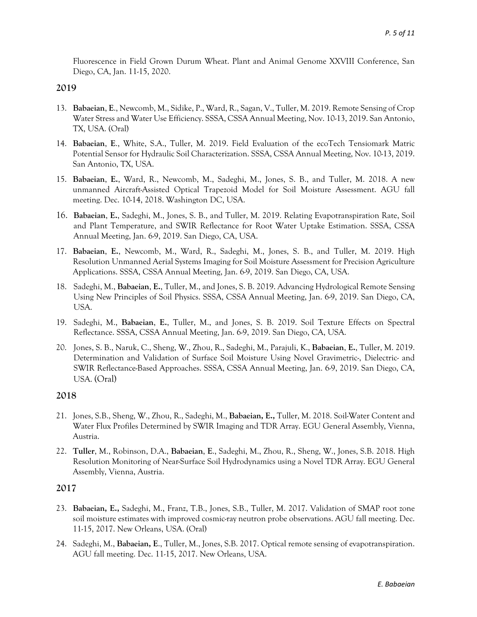Fluorescence in Field Grown Durum Wheat. Plant and Animal Genome XXVIII Conference, San Diego, CA, Jan. 11-15, 2020.

## **2019**

- 13. **Babaeian**, **E**., Newcomb, M., Sidike, P., Ward, R., Sagan, V., Tuller, M. 2019. [Remote Sensing of Crop](javascript:void(0))  [Water Stress and Water Use Efficiency.](javascript:void(0)) SSSA, CSSA Annual Meeting, Nov. 10-13, 2019. San Antonio, TX, USA. (Oral)
- 14. **Babaeian**, **E**., White, S.A., Tuller, M. 2019. [Field Evaluation of the ecoTech Tensiomark](https://www.researchgate.net/publication/337076175_Field_Evaluation_of_the_ecoTech_Tensiomark_Matric_Potential_Sensor_for_Hydraulic_Soil_Characterization?_sg=q5YE9r9IhNV5aWoz1cyrqvZ1GHRkIclpfUKvxeyIBzrGebvv7Hdpl87XAGcLl3lvC5lwTFpQlyGst1AiR3WrcshKhmwcOLCWG23smTKu.4YvoTxZpI4YbXH0XfqhVzbXO-nVnMnVpL3GaKIodhJWlrggoykBkANFe5PMhpU1pVbEZYJjyWHcOIB0ugfTbdg) Matric [Potential Sensor for Hydraulic Soil Characterization.](https://www.researchgate.net/publication/337076175_Field_Evaluation_of_the_ecoTech_Tensiomark_Matric_Potential_Sensor_for_Hydraulic_Soil_Characterization?_sg=q5YE9r9IhNV5aWoz1cyrqvZ1GHRkIclpfUKvxeyIBzrGebvv7Hdpl87XAGcLl3lvC5lwTFpQlyGst1AiR3WrcshKhmwcOLCWG23smTKu.4YvoTxZpI4YbXH0XfqhVzbXO-nVnMnVpL3GaKIodhJWlrggoykBkANFe5PMhpU1pVbEZYJjyWHcOIB0ugfTbdg) SSSA, CSSA Annual Meeting, Nov. 10-13, 2019. San Antonio, TX, USA.
- 15. **Babaeian**, **E.**, Ward, R., Newcomb, M., Sadeghi, M., Jones, S. B., and Tuller, M. 2018. A new unmanned Aircraft-Assisted Optical Trapezoid Model for Soil Moisture Assessment. AGU fall meeting. Dec. 10-14, 2018. Washington DC, USA.
- 16. **Babaeian**, **E.**, Sadeghi, M., Jones, S. B., and Tuller, M. 2019. Relating Evapotranspiration Rate, Soil and Plant Temperature, and SWIR Reflectance for Root Water Uptake Estimation. SSSA, CSSA Annual Meeting, Jan. 6-9, 2019. San Diego, CA, USA.
- 17. **Babaeian**, **E.**, Newcomb, M., Ward, R., Sadeghi, M., Jones, S. B., and Tuller, M. 2019. High Resolution Unmanned Aerial Systems Imaging for Soil Moisture Assessment for Precision Agriculture Applications. SSSA, CSSA Annual Meeting, Jan. 6-9, 2019. San Diego, CA, USA.
- 18. Sadeghi, M., **Babaeian**, **E.**, Tuller, M., and Jones, S. B. 2019. Advancing Hydrological Remote Sensing Using New Principles of Soil Physics. SSSA, CSSA Annual Meeting, Jan. 6-9, 2019. San Diego, CA, USA.
- 19. Sadeghi, M., **Babaeian**, **E.**, Tuller, M., and Jones, S. B. 2019. Soil Texture Effects on Spectral Reflectance. SSSA, CSSA Annual Meeting, Jan. 6-9, 2019. San Diego, CA, USA.
- 20. Jones, S. B., Naruk, C., Sheng, W., Zhou, R., Sadeghi, M., Parajuli, K., **Babaeian**, **E.**, Tuller, M. 2019. Determination and Validation of Surface Soil Moisture Using Novel Gravimetric-, Dielectric- and SWIR Reflectance-Based Approaches. SSSA, CSSA Annual Meeting, Jan. 6-9, 2019. San Diego, CA, USA. (Oral)

## **2018**

- 21. Jones, S.B., Sheng, W., Zhou, R., Sadeghi, M., **Babaeian, E.,** Tuller, M. 2018[. Soil-Water Content and](https://www.researchgate.net/publication/324976607_Soil-Water_Content_and_Water_Flux_Profiles_Determined_by_SWIR_Imaging_and_TDR_Array?_sg=Ofrg6w20lgK6SEXYuVR0LVR0xBA-uKltpZEyq3OEdmO3yK1jcjzFxiPj70oj6RH5hqZFQKRnKx5jse6jdpJfgItQpCmoXjDETkV6dmJH.8AlwwfjPQ10Mgi5dtjOu9tvBNryUtWPqiECDNxtkm3RzK7ORAL-qrb-4W355V0_6xj2rekwqwLemELw32lz2CQ)  [Water Flux Profiles Determined by SWIR Imaging and TDR Array.](https://www.researchgate.net/publication/324976607_Soil-Water_Content_and_Water_Flux_Profiles_Determined_by_SWIR_Imaging_and_TDR_Array?_sg=Ofrg6w20lgK6SEXYuVR0LVR0xBA-uKltpZEyq3OEdmO3yK1jcjzFxiPj70oj6RH5hqZFQKRnKx5jse6jdpJfgItQpCmoXjDETkV6dmJH.8AlwwfjPQ10Mgi5dtjOu9tvBNryUtWPqiECDNxtkm3RzK7ORAL-qrb-4W355V0_6xj2rekwqwLemELw32lz2CQ) EGU General Assembly, Vienna, Austria.
- 22. **Tuller**, M., Robinson, D.A., **Babaeian**, **E**., Sadeghi, M., Zhou, R., Sheng, W., Jones, S.B. 2018. [High](https://www.researchgate.net/publication/324976709_High_Resolution_Monitoring_of_Near-Surface_Soil_Hydrodynamics_using_a_Novel_TDR_Array?_sg=Ofrg6w20lgK6SEXYuVR0LVR0xBA-uKltpZEyq3OEdmO3yK1jcjzFxiPj70oj6RH5hqZFQKRnKx5jse6jdpJfgItQpCmoXjDETkV6dmJH.8AlwwfjPQ10Mgi5dtjOu9tvBNryUtWPqiECDNxtkm3RzK7ORAL-qrb-4W355V0_6xj2rekwqwLemELw32lz2CQ)  [Resolution Monitoring of Near-Surface Soil Hydrodynamics using a Novel TDR Array.](https://www.researchgate.net/publication/324976709_High_Resolution_Monitoring_of_Near-Surface_Soil_Hydrodynamics_using_a_Novel_TDR_Array?_sg=Ofrg6w20lgK6SEXYuVR0LVR0xBA-uKltpZEyq3OEdmO3yK1jcjzFxiPj70oj6RH5hqZFQKRnKx5jse6jdpJfgItQpCmoXjDETkV6dmJH.8AlwwfjPQ10Mgi5dtjOu9tvBNryUtWPqiECDNxtkm3RzK7ORAL-qrb-4W355V0_6xj2rekwqwLemELw32lz2CQ) EGU General Assembly, Vienna, Austria.

## **2017**

- 23. **Babaeian, E.,** Sadeghi, M., Franz, T.B., Jones, S.B., Tuller, M. 2017. Validation of SMAP root zone soil moisture estimates with improved cosmic-ray neutron probe observations. AGU fall meeting. Dec. 11-15, 2017. New Orleans, USA. (Oral)
- 24. Sadeghi, M., **Babaeian, E**., Tuller, M., Jones, S.B. 2017. Optical remote sensing of evapotranspiration. AGU fall meeting. Dec. 11-15, 2017. New Orleans, USA.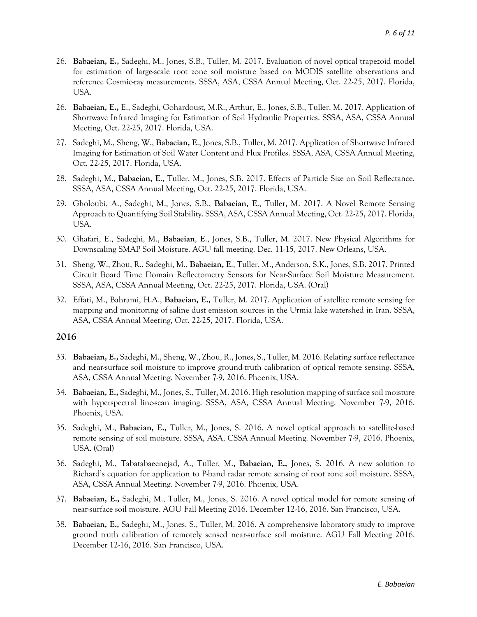- 26. **Babaeian, E.,** Sadeghi, M., Jones, S.B., Tuller, M. 2017. Evaluation of novel optical trapezoid model for estimation of large-scale root zone soil moisture based on MODIS satellite observations and reference Cosmic-ray measurements. SSSA, ASA, CSSA Annual Meeting, Oct. 22-25, 2017. Florida, USA.
- 26. **Babaeian, E.,** E., Sadeghi, Gohardoust, M.R., Arthur, E., Jones, S.B., Tuller, M. 2017. Application of Shortwave Infrared Imaging for Estimation of Soil Hydraulic Properties. SSSA, ASA, CSSA Annual Meeting, Oct. 22-25, 2017. Florida, USA.
- 27. Sadeghi, M., Sheng, W., **Babaeian, E**., Jones, S.B., Tuller, M. 2017. Application of Shortwave Infrared Imaging for Estimation of Soil Water Content and Flux Profiles. SSSA, ASA, CSSA Annual Meeting, Oct. 22-25, 2017. Florida, USA.
- 28. Sadeghi, M., **Babaeian, E**., Tuller, M., Jones, S.B. 2017. Effects of Particle Size on Soil Reflectance. SSSA, ASA, CSSA Annual Meeting, Oct. 22-25, 2017. Florida, USA.
- 29. Gholoubi, A., Sadeghi, M., Jones, S.B., **Babaeian, E**., Tuller, M. 2017. A Novel Remote Sensing Approach to Quantifying Soil Stability. SSSA, ASA, CSSA Annual Meeting, Oct. 22-25, 2017. Florida, USA.
- 30. Ghafari, E., Sadeghi, M., **Babaeian**, **E**., Jones, S.B., Tuller, M. 2017. [New Physical Algorithms for](https://www.researchgate.net/publication/321577004_New_Physical_Algorithms_for_Downscaling_SMAP_Soil_Moisture?_sg=1DboEwkFkQ92a01_T4MeG1xWsC0-cDs8B5S8Jho4YyxEO3tIu7qJicmKaB5ZTU9ChsCqYS3bHCBUzGFny20MxuDBl0B7p0Kdi3e3KR0R.JTNMPqoqZzJAD3p-cRQ3_D99Hujol33AlUaI2gMoadhG709I-aM43quxLUUBHTaN2KTVWU3Lb4Uw4gTs3qOyfA)  [Downscaling SMAP Soil Moisture.](https://www.researchgate.net/publication/321577004_New_Physical_Algorithms_for_Downscaling_SMAP_Soil_Moisture?_sg=1DboEwkFkQ92a01_T4MeG1xWsC0-cDs8B5S8Jho4YyxEO3tIu7qJicmKaB5ZTU9ChsCqYS3bHCBUzGFny20MxuDBl0B7p0Kdi3e3KR0R.JTNMPqoqZzJAD3p-cRQ3_D99Hujol33AlUaI2gMoadhG709I-aM43quxLUUBHTaN2KTVWU3Lb4Uw4gTs3qOyfA) AGU fall meeting. Dec. 11-15, 2017. New Orleans, USA.
- 31. Sheng, W., Zhou, R., Sadeghi, M., **Babaeian, E**., Tuller, M., Anderson, S.K., Jones, S.B. 2017. Printed Circuit Board Time Domain Reflectometry Sensors for Near-Surface Soil Moisture Measurement. SSSA, ASA, CSSA Annual Meeting, Oct. 22-25, 2017. Florida, USA. (Oral)
- 32. Effati, M., Bahrami, H.A., **Babaeian, E.,** Tuller, M. 2017. Application of satellite remote sensing for mapping and monitoring of saline dust emission sources in the Urmia lake watershed in Iran. SSSA, ASA, CSSA Annual Meeting, Oct. 22-25, 2017. Florida, USA.

#### **2016**

- 33. **Babaeian, E.,** Sadeghi, M., Sheng, W., Zhou, R., Jones, S., Tuller, M. 2016. Relating surface reflectance and near-surface soil moisture to improve ground-truth calibration of optical remote sensing. SSSA, ASA, CSSA Annual Meeting. November 7-9, 2016. Phoenix, USA.
- 34. **Babaeian, E.,** Sadeghi, M., Jones, S., Tuller, M. 2016. High resolution mapping of surface soil moisture with hyperspectral line-scan imaging. SSSA, ASA, CSSA Annual Meeting. November 7-9, 2016. Phoenix, USA.
- 35. Sadeghi, M., **Babaeian, E.,** Tuller, M., Jones, S. 2016. A novel optical approach to satellite-based remote sensing of soil moisture. SSSA, ASA, CSSA Annual Meeting. November 7-9, 2016. Phoenix, USA. (Oral)
- 36. Sadeghi, M., Tabatabaeenejad, A., Tuller, M., **Babaeian, E.,** Jones, S. 2016. A new solution to Richard's equation for application to P-band radar remote sensing of root zone soil moisture. SSSA, ASA, CSSA Annual Meeting. November 7-9, 2016. Phoenix, USA.
- 37. **Babaeian, E.,** Sadeghi, M., Tuller, M., Jones, S. 2016. A novel optical model for remote sensing of near-surface soil moisture. AGU Fall Meeting 2016. December 12-16, 2016. San Francisco, USA.
- 38. **Babaeian, E.,** Sadeghi, M., Jones, S., Tuller, M. 2016. A comprehensive laboratory study to improve ground truth calibration of remotely sensed near-surface soil moisture. AGU Fall Meeting 2016. December 12-16, 2016. San Francisco, USA.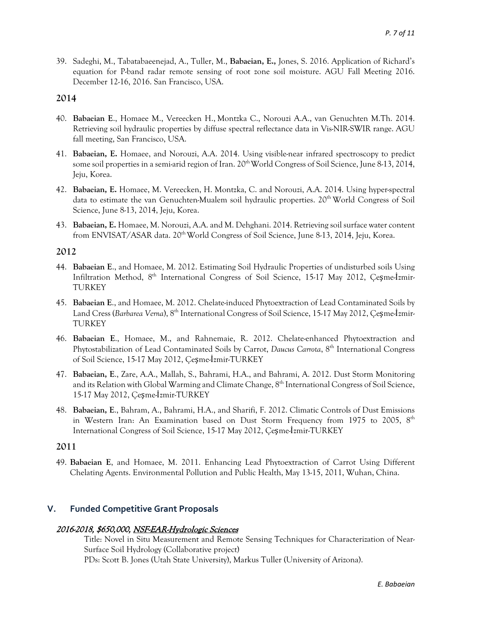39. Sadeghi, M., Tabatabaeenejad, A., Tuller, M., **Babaeian, E.,** Jones, S. 2016. Application of Richard's equation for P-band radar remote sensing of root zone soil moisture. AGU Fall Meeting 2016. December 12-16, 2016. San Francisco, USA.

#### **2014**

- 40. **Babaeian E**., Homaee M., Vereecken H., Montzka C., Norouzi A.A., van Genuchten M.Th. 2014. Retrieving soil hydraulic properties by diffuse spectral reflectance data in Vis-NIR-SWIR range. AGU fall meeting, San Francisco, USA.
- 41. **Babaeian, E.** Homaee, and Norouzi, A.A. 2014. Using visible-near infrared spectroscopy to predict some soil properties in a semi-arid region of Iran. 20<sup>th</sup> World Congress of Soil Science, June 8-13, 2014, Jeju, Korea.
- 42. **Babaeian, E.** Homaee, M. Vereecken, H. Montzka, C. and Norouzi, A.A. 2014. Using hyper-spectral data to estimate the van Genuchten-Mualem soil hydraulic properties. 20<sup>th</sup> World Congress of Soil Science, June 8-13, 2014, Jeju, Korea.
- 43. **Babaeian, E.** Homaee, M. Norouzi, A.A. and M. Dehghani. 2014. Retrieving soil surface water content from ENVISAT/ASAR data. 20<sup>th</sup> World Congress of Soil Science, June 8-13, 2014, Jeju, Korea.

### **2012**

- 44. **Babaeian E**., and Homaee, M. 2012. Estimating Soil Hydraulic Properties of undisturbed soils Using Infiltration Method, 8<sup>th</sup> International Congress of Soil Science, 15-17 May 2012, Çeşme-İzmir-TURKEY
- 45. **Babaeian E**., and Homaee, M. 2012. Chelate-induced Phytoextraction of Lead Contaminated Soils by Land Cress (*Barbarea Verna*), 8th International Congress of Soil Science, 15-17 May 2012, Çeşme-İzmir-TURKEY
- 46. **Babaeian E**., Homaee, M., and Rahnemaie, R. 2012. Chelate-enhanced Phytoextraction and Phytostabilization of Lead Contaminated Soils by Carrot, *Daucus Carrota*, 8th International Congress of Soil Science, 15-17 May 2012, Çeşme-İzmir-TURKEY
- 47. **Babaeian, E**., Zare, A.A., Mallah, S., Bahrami, H.A., and Bahrami, A. 2012. Dust Storm Monitoring and its Relation with Global Warming and Climate Change, 8<sup>th</sup> International Congress of Soil Science. 15-17 May 2012, Çeşme-İzmir-TURKEY
- 48. **Babaeian, E**., Bahram, A., Bahrami, H.A., and Sharifi, F. 2012. Climatic Controls of Dust Emissions in Western Iran: An Examination based on Dust Storm Frequency from 1975 to 2005,  $8<sup>th</sup>$ International Congress of Soil Science, 15-17 May 2012, Çeşme-İzmir-TURKEY

### **2011**

49. **Babaeian E**, and Homaee, M. 2011. Enhancing Lead Phytoextraction of Carrot Using Different Chelating Agents. Environmental Pollution and Public Health, May 13-15, 2011, Wuhan, China.

## **V. Funded Competitive Grant Proposals**

#### 2016-2018, \$650,000, NSF-EAR-Hydrologic Sciences

Title: Novel in Situ Measurement and Remote Sensing Techniques for Characterization of Near-Surface Soil Hydrology (Collaborative project)

PDs: Scott B. Jones (Utah State University), Markus Tuller (University of Arizona).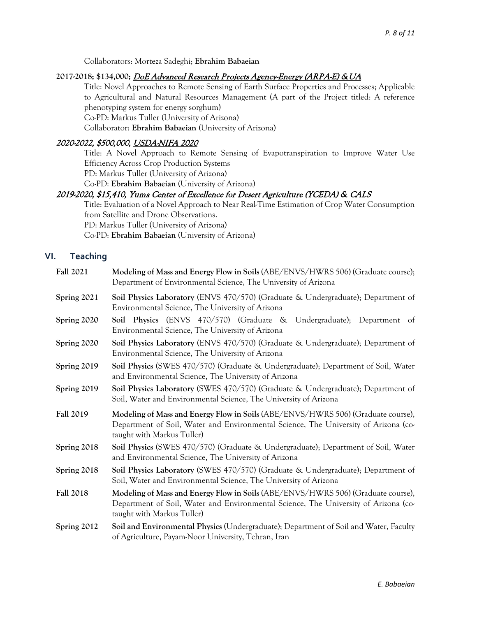Collaborators: Morteza Sadeghi; **Ebrahim Babaeian**

#### **2017-2018; \$134,000;** DoE Advanced Research Projects Agency-Energy (ARPA-E) &UA

Title: Novel Approaches to Remote Sensing of Earth Surface Properties and Processes; Applicable to Agricultural and Natural Resources Management (A part of the Project titled: A reference phenotyping system for energy sorghum)

Co-PD: Markus Tuller (University of Arizona)

Collaborator: **Ebrahim Babaeian (**University of Arizona)

## 2020-2022, \$500,000, USDA-NIFA 2020

Title: A Novel Approach to Remote Sensing of Evapotranspiration to Improve Water Use Efficiency Across Crop Production Systems

PD: Markus Tuller (University of Arizona)

Co-PD: **Ebrahim Babaeian** (University of Arizona)

### 2019-2020, \$15,410, Yuma Center of Excellence for Desert Agriculture (YCEDA) & CALS

Title: Evaluation of a Novel Approach to Near Real-Time Estimation of Crop Water Consumption from Satellite and Drone Observations. PD: Markus Tuller (University of Arizona) Co-PD: **Ebrahim Babaeian** (University of Arizona)

### **VI. Teaching**

| <b>Fall 2021</b> | Modeling of Mass and Energy Flow in Soils (ABE/ENVS/HWRS 506) (Graduate course);<br>Department of Environmental Science, The University of Arizona                                                    |
|------------------|-------------------------------------------------------------------------------------------------------------------------------------------------------------------------------------------------------|
| Spring 2021      | Soil Physics Laboratory (ENVS 470/570) (Graduate & Undergraduate); Department of<br>Environmental Science, The University of Arizona                                                                  |
| Spring 2020      | Soil Physics (ENVS 470/570) (Graduate & Undergraduate); Department of<br>Environmental Science, The University of Arizona                                                                             |
| Spring 2020      | Soil Physics Laboratory (ENVS 470/570) (Graduate & Undergraduate); Department of<br>Environmental Science, The University of Arizona                                                                  |
| Spring 2019      | Soil Physics (SWES 470/570) (Graduate & Undergraduate); Department of Soil, Water<br>and Environmental Science, The University of Arizona                                                             |
| Spring 2019      | Soil Physics Laboratory (SWES 470/570) (Graduate & Undergraduate); Department of<br>Soil, Water and Environmental Science, The University of Arizona                                                  |
|                  |                                                                                                                                                                                                       |
| <b>Fall 2019</b> | Modeling of Mass and Energy Flow in Soils (ABE/ENVS/HWRS 506) (Graduate course),<br>Department of Soil, Water and Environmental Science, The University of Arizona (co-<br>taught with Markus Tuller) |
| Spring 2018      | Soil Physics (SWES 470/570) (Graduate & Undergraduate); Department of Soil, Water<br>and Environmental Science, The University of Arizona                                                             |
| Spring 2018      | Soil Physics Laboratory (SWES 470/570) (Graduate & Undergraduate); Department of<br>Soil, Water and Environmental Science, The University of Arizona                                                  |
| <b>Fall 2018</b> | Modeling of Mass and Energy Flow in Soils (ABE/ENVS/HWRS 506) (Graduate course),<br>Department of Soil, Water and Environmental Science, The University of Arizona (co-<br>taught with Markus Tuller) |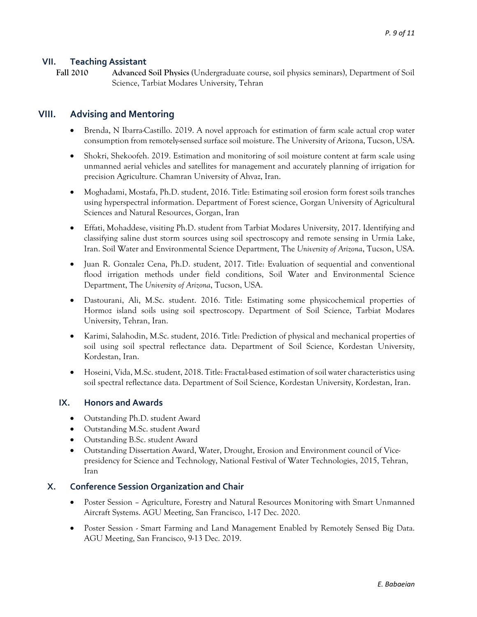## **VII. Teaching Assistant**

**Fall 2010 Advanced Soil Physics** (Undergraduate course, soil physics seminars), Department of Soil Science, Tarbiat Modares University, Tehran

## **VIII. Advising and Mentoring**

- Brenda, N Ibarra-Castillo. 2019. A novel approach for estimation of farm scale actual crop water consumption from remotely-sensed surface soil moisture. The University of Arizona, Tucson, USA.
- Shokri, Shekoofeh. 2019. Estimation and monitoring of soil moisture content at farm scale using unmanned aerial vehicles and satellites for management and accurately planning of irrigation for precision Agriculture. Chamran University of Ahvaz, Iran.
- Moghadami, Mostafa, Ph.D. student, 2016. Title: Estimating soil erosion form forest soils tranches using hyperspectral information. Department of Forest science, Gorgan University of Agricultural Sciences and Natural Resources, Gorgan, Iran
- Effati, Mohaddese, visiting Ph.D. student from Tarbiat Modares University, 2017. Identifying and classifying saline dust storm sources using soil spectroscopy and remote sensing in Urmia Lake, Iran. Soil Water and Environmental Science Department, The *University of Arizona*, Tucson, USA.
- Juan R. Gonzalez Cena, Ph.D. student, 2017. Title: Evaluation of sequential and conventional flood irrigation methods under field conditions, Soil Water and Environmental Science Department, The *University of Arizona*, Tucson, USA.
- Dastourani, Ali, M.Sc. student. 2016. Title: Estimating some physicochemical properties of Hormoz island soils using soil spectroscopy. Department of Soil Science, Tarbiat Modares University, Tehran, Iran.
- Karimi, Salahodin, M.Sc. student, 2016. Title: Prediction of physical and mechanical properties of soil using soil spectral reflectance data. Department of Soil Science, Kordestan University, Kordestan, Iran.
- Hoseini, Vida, M.Sc. student, 2018. Title: Fractal-based estimation of soil water characteristics using soil spectral reflectance data. Department of Soil Science, Kordestan University, Kordestan, Iran.

## **IX. Honors and Awards**

- Outstanding Ph.D. student Award
- Outstanding M.Sc. student Award
- Outstanding B.Sc. student Award
- Outstanding Dissertation Award, Water, Drought, Erosion and Environment council of Vicepresidency for Science and Technology, National Festival of Water Technologies, 2015, Tehran, Iran

## **X. Conference Session Organization and Chair**

- Poster Session Agriculture, Forestry and Natural Resources Monitoring with Smart Unmanned Aircraft Systems. AGU Meeting, San Francisco, 1-17 Dec. 2020.
- Poster Session Smart Farming and Land Management Enabled by Remotely Sensed Big Data. AGU Meeting, San Francisco, 9-13 Dec. 2019.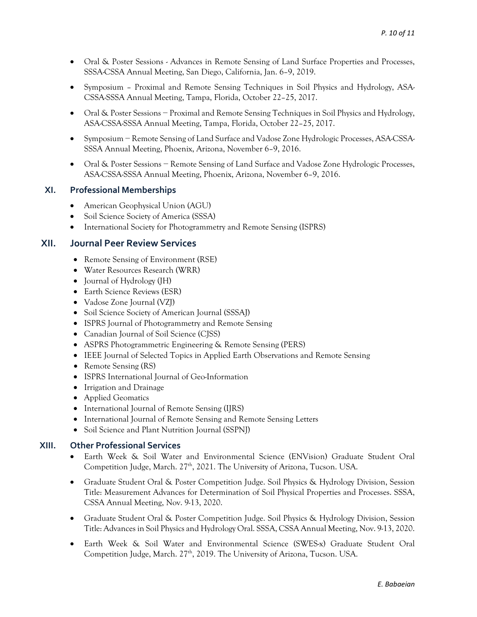- Oral & Poster Sessions Advances in Remote Sensing of Land Surface Properties and Processes, SSSA-CSSA Annual Meeting, San Diego, California, Jan. 6–9, 2019.
- Symposium Proximal and Remote Sensing Techniques in Soil Physics and Hydrology, ASA-CSSA-SSSA Annual Meeting, Tampa, Florida, October 22–25, 2017.
- Oral & Poster Sessions − Proximal and Remote Sensing Techniques in Soil Physics and Hydrology, ASA-CSSA-SSSA Annual Meeting, Tampa, Florida, October 22–25, 2017.
- Symposium − Remote Sensing of Land Surface and Vadose Zone Hydrologic Processes, ASA-CSSA-SSSA Annual Meeting, Phoenix, Arizona, November 6–9, 2016.
- Oral & Poster Sessions − Remote Sensing of Land Surface and Vadose Zone Hydrologic Processes, ASA-CSSA-SSSA Annual Meeting, Phoenix, Arizona, November 6–9, 2016.

### **XI. Professional Memberships**

- American Geophysical Union (AGU)
- Soil Science Society of America (SSSA)
- International Society for Photogrammetry and Remote Sensing (ISPRS)

## **XII. Journal Peer Review Services**

- Remote Sensing of Environment (RSE)
- Water Resources Research (WRR)
- Journal of Hydrology (JH)
- Earth Science Reviews (ESR)
- Vadose Zone Journal (VZJ)
- Soil Science Society of American Journal (SSSAJ)
- ISPRS Journal of Photogrammetry and Remote Sensing
- Canadian Journal of Soil Science (CJSS)
- ASPRS Photogrammetric Engineering & Remote Sensing (PERS)
- IEEE Journal of Selected Topics in Applied Earth Observations and Remote Sensing
- Remote Sensing (RS)
- ISPRS International Journal of Geo-Information
- Irrigation and Drainage
- Applied Geomatics
- International Journal of Remote Sensing (IJRS)
- International Journal of Remote Sensing and Remote Sensing Letters
- Soil Science and Plant Nutrition Journal (SSPNJ)

## **XIII. Other Professional Services**

- Earth Week & Soil Water and Environmental Science (ENVision) Graduate Student Oral Competition Judge, March. 27<sup>th</sup>, 2021. The University of Arizona, Tucson. USA.
- Graduate Student Oral & Poster Competition Judge. Soil Physics & Hydrology Division, Session Title: Measurement Advances for Determination of Soil Physical Properties and Processes. SSSA, CSSA Annual Meeting, Nov. 9-13, 2020.
- Graduate Student Oral & Poster Competition Judge. Soil Physics & Hydrology Division, Session Title: Advances in Soil Physics and Hydrology Oral. SSSA, CSSA Annual Meeting, Nov. 9-13, 2020.
- Earth Week & Soil Water and Environmental Science (SWES-x) Graduate Student Oral Competition Judge, March. 27<sup>th</sup>, 2019. The University of Arizona, Tucson. USA.